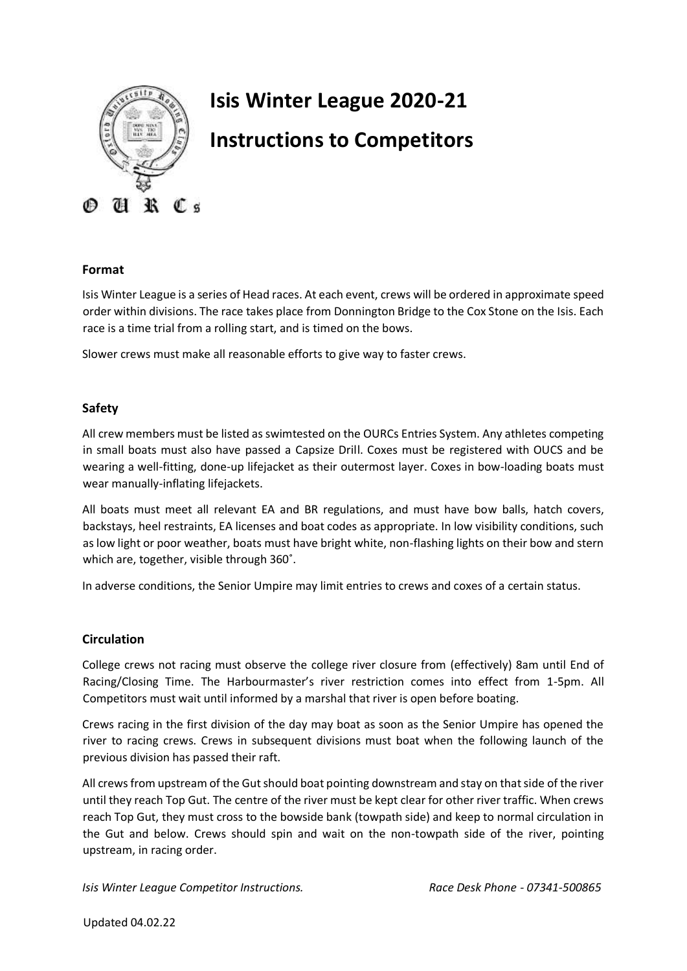

# **Isis Winter League 2020-21 Instructions to Competitors**

## **Format**

Isis Winter League is a series of Head races. At each event, crews will be ordered in approximate speed order within divisions. The race takes place from Donnington Bridge to the Cox Stone on the Isis. Each race is a time trial from a rolling start, and is timed on the bows.

Slower crews must make all reasonable efforts to give way to faster crews.

## **Safety**

All crew members must be listed as swimtested on the OURCs Entries System. Any athletes competing in small boats must also have passed a Capsize Drill. Coxes must be registered with OUCS and be wearing a well-fitting, done-up lifejacket as their outermost layer. Coxes in bow-loading boats must wear manually-inflating lifejackets.

All boats must meet all relevant EA and BR regulations, and must have bow balls, hatch covers, backstays, heel restraints, EA licenses and boat codes as appropriate. In low visibility conditions, such as low light or poor weather, boats must have bright white, non-flashing lights on their bow and stern which are, together, visible through 360˚.

In adverse conditions, the Senior Umpire may limit entries to crews and coxes of a certain status.

## **Circulation**

College crews not racing must observe the college river closure from (effectively) 8am until End of Racing/Closing Time. The Harbourmaster's river restriction comes into effect from 1-5pm. All Competitors must wait until informed by a marshal that river is open before boating.

Crews racing in the first division of the day may boat as soon as the Senior Umpire has opened the river to racing crews. Crews in subsequent divisions must boat when the following launch of the previous division has passed their raft.

All crews from upstream of the Gut should boat pointing downstream and stay on that side of the river until they reach Top Gut. The centre of the river must be kept clear for other river traffic. When crews reach Top Gut, they must cross to the bowside bank (towpath side) and keep to normal circulation in the Gut and below. Crews should spin and wait on the non-towpath side of the river, pointing upstream, in racing order.

*Isis Winter League Competitor Instructions. Race Desk Phone - 07341-500865*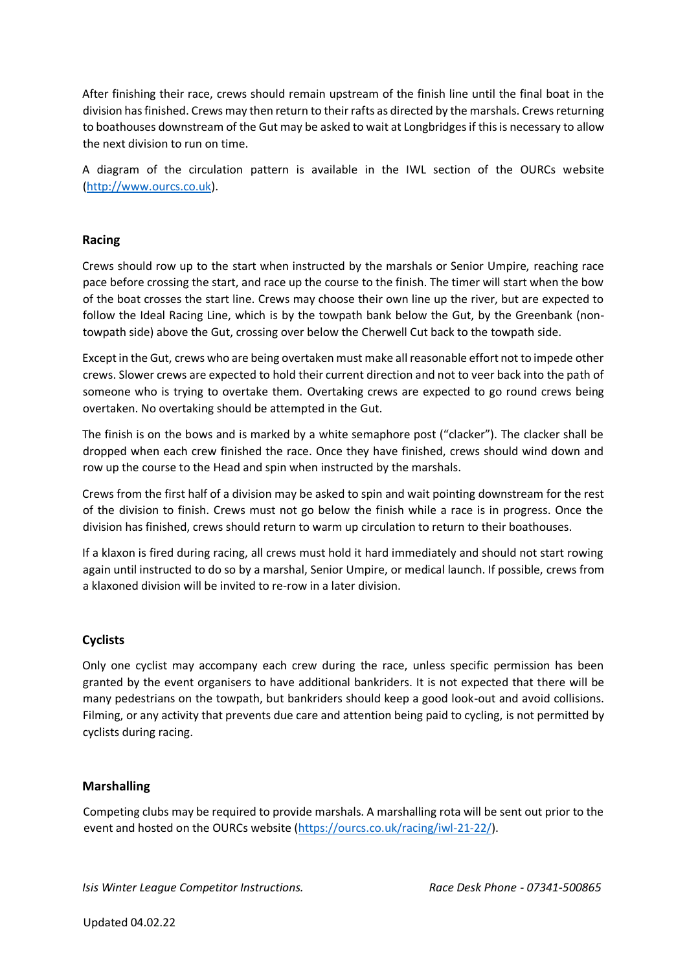After finishing their race, crews should remain upstream of the finish line until the final boat in the division has finished. Crews may then return to their rafts as directed by the marshals. Crews returning to boathouses downstream of the Gut may be asked to wait at Longbridges if this is necessary to allow the next division to run on time.

A diagram of the circulation pattern is available in the IWL section of the OURCs website [\(http://www.ourcs.co.uk\).](http://www.ourcs.co.uk/)

## **Racing**

Crews should row up to the start when instructed by the marshals or Senior Umpire, reaching race pace before crossing the start, and race up the course to the finish. The timer will start when the bow of the boat crosses the start line. Crews may choose their own line up the river, but are expected to follow the Ideal Racing Line, which is by the towpath bank below the Gut, by the Greenbank (nontowpath side) above the Gut, crossing over below the Cherwell Cut back to the towpath side.

Except in the Gut, crews who are being overtaken must make all reasonable effort not to impede other crews. Slower crews are expected to hold their current direction and not to veer back into the path of someone who is trying to overtake them. Overtaking crews are expected to go round crews being overtaken. No overtaking should be attempted in the Gut.

The finish is on the bows and is marked by a white semaphore post ("clacker"). The clacker shall be dropped when each crew finished the race. Once they have finished, crews should wind down and row up the course to the Head and spin when instructed by the marshals.

Crews from the first half of a division may be asked to spin and wait pointing downstream for the rest of the division to finish. Crews must not go below the finish while a race is in progress. Once the division has finished, crews should return to warm up circulation to return to their boathouses.

If a klaxon is fired during racing, all crews must hold it hard immediately and should not start rowing again until instructed to do so by a marshal, Senior Umpire, or medical launch. If possible, crews from a klaxoned division will be invited to re-row in a later division.

# **Cyclists**

Only one cyclist may accompany each crew during the race, unless specific permission has been granted by the event organisers to have additional bankriders. It is not expected that there will be many pedestrians on the towpath, but bankriders should keep a good look-out and avoid collisions. Filming, or any activity that prevents due care and attention being paid to cycling, is not permitted by cyclists during racing.

## **Marshalling**

Competing clubs may be required to provide marshals. A marshalling rota will be sent out prior to the event and hosted on the OURCs website [\(https://ourcs.co.uk/racing/iwl-21-22/\)](https://ourcs.co.uk/racing/iwl-21-22/).

*Isis Winter League Competitor Instructions. Race Desk Phone - 07341-500865*